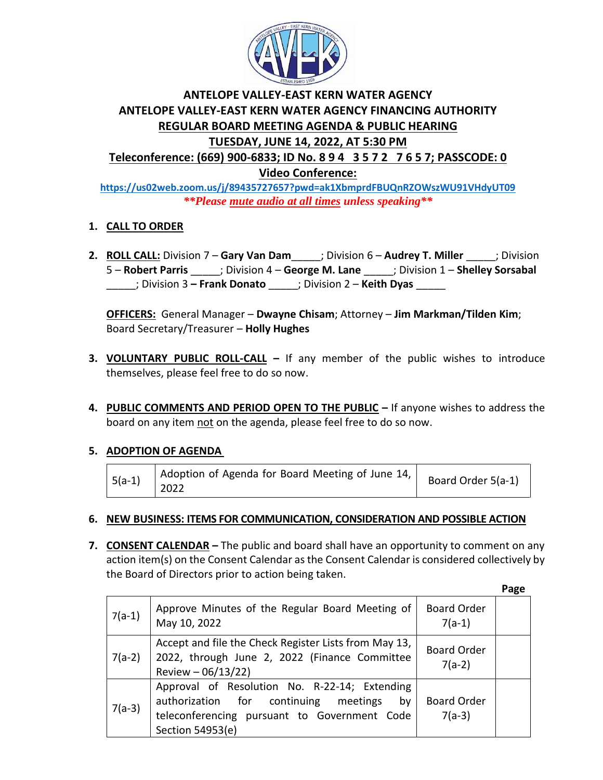

# **ANTELOPE VALLEY-EAST KERN WATER AGENCY ANTELOPE VALLEY-EAST KERN WATER AGENCY FINANCING AUTHORITY REGULAR BOARD MEETING AGENDA & PUBLIC HEARING TUESDAY, JUNE 14, 2022, AT 5:30 PM Teleconference: (669) 900-6833; ID No. 8 9 4 3 5 7 2 7 6 5 7; PASSCODE: 0**

**Video Conference:** 

**<https://us02web.zoom.us/j/89435727657?pwd=ak1XbmprdFBUQnRZOWszWU91VHdyUT09>** *\*\*Please mute audio at all times unless speaking\*\**

## **1. CALL TO ORDER**

**2. ROLL CALL:** Division 7 – **Gary Van Dam**\_\_\_\_\_; Division 6 – **Audrey T. Miller** \_\_\_\_\_; Division 5 – **Robert Parris** \_\_\_\_\_; Division 4 – **George M. Lane** \_\_\_\_\_; Division 1 – **Shelley Sorsabal** \_\_\_\_\_; Division 3 **– Frank Donato** \_\_\_\_\_; Division 2 – **Keith Dyas** \_\_\_\_\_

**OFFICERS:** General Manager – **Dwayne Chisam**; Attorney – **Jim Markman/Tilden Kim**; Board Secretary/Treasurer – **Holly Hughes**

- **3. VOLUNTARY PUBLIC ROLL-CALL –** If any member of the public wishes to introduce themselves, please feel free to do so now.
- **4. PUBLIC COMMENTS AND PERIOD OPEN TO THE PUBLIC –** If anyone wishes to address the board on any item not on the agenda, please feel free to do so now.

## **5. ADOPTION OF AGENDA**

| Adoption of Agenda for Board Meeting of June 14, $\vert$<br>$ 5(a-1) $<br>2022 |
|--------------------------------------------------------------------------------|
|--------------------------------------------------------------------------------|

### **6. NEW BUSINESS: ITEMS FOR COMMUNICATION, CONSIDERATION AND POSSIBLE ACTION**

**7. CONSENT CALENDAR –** The public and board shall have an opportunity to comment on any action item(s) on the Consent Calendar as the Consent Calendar is considered collectively by the Board of Directors prior to action being taken.

 **Page**

|          |                                                                                                                                                                  |                                | - 0 |
|----------|------------------------------------------------------------------------------------------------------------------------------------------------------------------|--------------------------------|-----|
| $7(a-1)$ | Approve Minutes of the Regular Board Meeting of<br>May 10, 2022                                                                                                  | <b>Board Order</b><br>$7(a-1)$ |     |
| $7(a-2)$ | Accept and file the Check Register Lists from May 13,<br>2022, through June 2, 2022 (Finance Committee<br>Review $-06/13/22$                                     | <b>Board Order</b><br>$7(a-2)$ |     |
| $7(a-3)$ | Approval of Resolution No. R-22-14; Extending<br>authorization for continuing meetings<br>by<br>teleconferencing pursuant to Government Code<br>Section 54953(e) | <b>Board Order</b><br>$7(a-3)$ |     |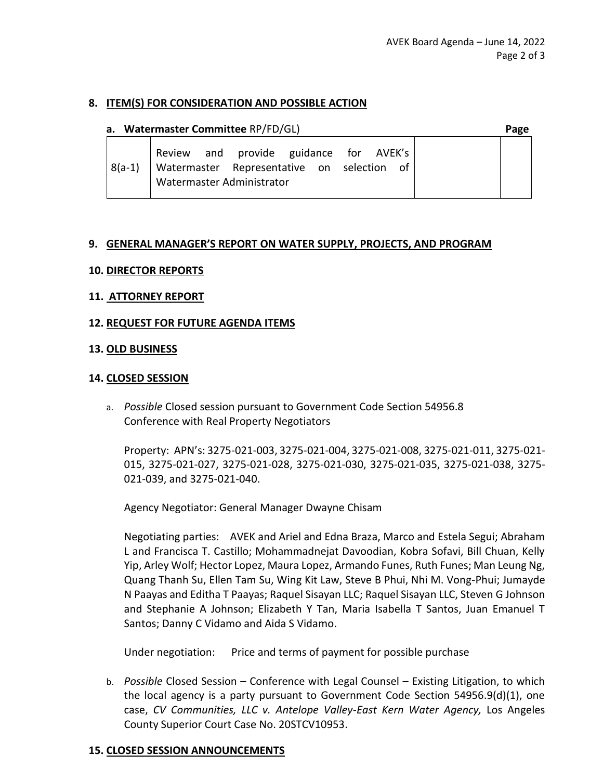### **8. ITEM(S) FOR CONSIDERATION AND POSSIBLE ACTION**

#### **a. Watermaster Committee** RP/FD/GL) **Page**

8(a-1) Review and provide guidance for AVEK's Watermaster Representative on selection of Watermaster Administrator

#### **9. GENERAL MANAGER'S REPORT ON WATER SUPPLY, PROJECTS, AND PROGRAM**

### **10. DIRECTOR REPORTS**

**11. ATTORNEY REPORT** 

#### **12. REQUEST FOR FUTURE AGENDA ITEMS**

#### **13. OLD BUSINESS**

#### **14. CLOSED SESSION**

a. *Possible* Closed session pursuant to Government Code Section 54956.8 Conference with Real Property Negotiators

Property: APN's: 3275-021-003, 3275-021-004, 3275-021-008, 3275-021-011, 3275-021- 015, 3275-021-027, 3275-021-028, 3275-021-030, 3275-021-035, 3275-021-038, 3275- 021-039, and 3275-021-040.

Agency Negotiator: General Manager Dwayne Chisam

Negotiating parties: AVEK and Ariel and Edna Braza, Marco and Estela Segui; Abraham L and Francisca T. Castillo; Mohammadnejat Davoodian, Kobra Sofavi, Bill Chuan, Kelly Yip, Arley Wolf; Hector Lopez, Maura Lopez, Armando Funes, Ruth Funes; Man Leung Ng, Quang Thanh Su, Ellen Tam Su, Wing Kit Law, Steve B Phui, Nhi M. Vong-Phui; Jumayde N Paayas and Editha T Paayas; Raquel Sisayan LLC; Raquel Sisayan LLC, Steven G Johnson and Stephanie A Johnson; Elizabeth Y Tan, Maria Isabella T Santos, Juan Emanuel T Santos; Danny C Vidamo and Aida S Vidamo.

Under negotiation: Price and terms of payment for possible purchase

b. *Possible* Closed Session – Conference with Legal Counsel – Existing Litigation, to which the local agency is a party pursuant to Government Code Section 54956.9(d)(1), one case, *CV Communities, LLC v. Antelope Valley-East Kern Water Agency,* Los Angeles County Superior Court Case No. 20STCV10953.

### **15. CLOSED SESSION ANNOUNCEMENTS**